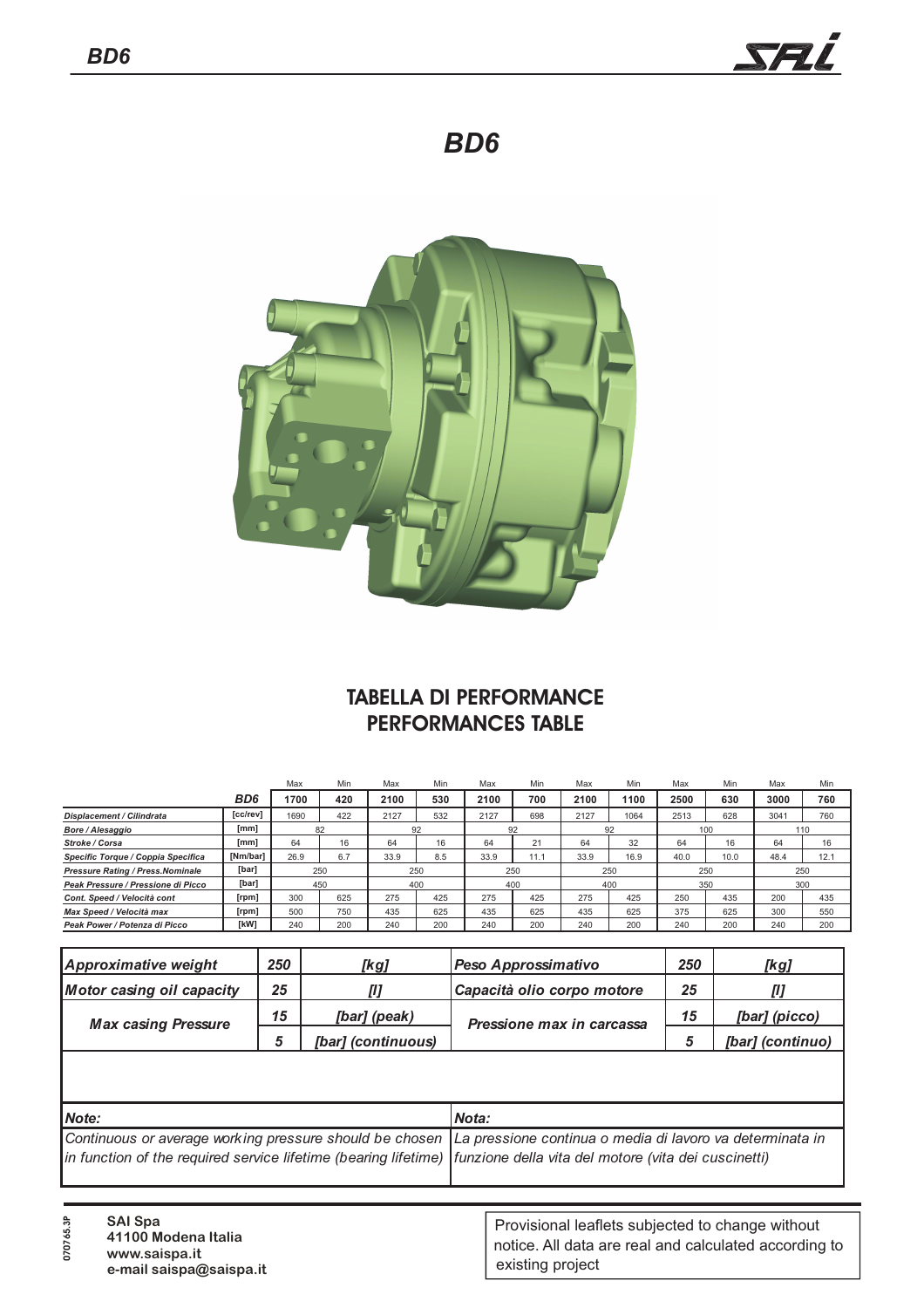

# *BD6*



## **TABELLA DI PERFORMANCE PERFORMANCES TABLE**

|                                          |                 | Max  | Min        | Max  | Min | Max  | Min  | Max  | Min  | Max  | Min  | Max  | Min  |
|------------------------------------------|-----------------|------|------------|------|-----|------|------|------|------|------|------|------|------|
|                                          | BD <sub>6</sub> | 1700 | 420        | 2100 | 530 | 2100 | 700  | 2100 | 1100 | 2500 | 630  | 3000 | 760  |
| <b>Displacement / Cilindrata</b>         | [cc/rev]        | 1690 | 422        | 2127 | 532 | 2127 | 698  | 2127 | 1064 | 2513 | 628  | 3041 | 760  |
| Bore / Alesaggio                         | [mm]            | 82   |            | 92   |     | 92   |      | 92   |      | 100  |      | 110  |      |
| Stroke / Corsa                           | [mm]            | 64   | 16         | 64   | 16  | 64   | 21   | 64   | 32   | 64   | 16   | 64   | 16   |
| Specific Torque / Coppia Specifica       | [Nm/bar]        | 26.9 | 6.7        | 33.9 | 8.5 | 33.9 | 11.1 | 33.9 | 16.9 | 40.0 | 10.0 | 48.4 | 12.1 |
| <b>Pressure Rating / Press. Nominale</b> | [bar]           | 250  |            | 250  |     | 250  |      | 250  |      | 250  |      | 250  |      |
| Peak Pressure / Pressione di Picco       | [bar]           |      | 450<br>400 |      | 400 |      | 400  |      | 350  |      | 300  |      |      |
| Cont. Speed / Velocità cont              | [rpm]           | 300  | 625        | 275  | 425 | 275  | 425  | 275  | 425  | 250  | 435  | 200  | 435  |
| Max Speed / Velocità max                 | [rpm]           | 500  | 750        | 435  | 625 | 435  | 625  | 435  | 625  | 375  | 625  | 300  | 550  |
| Peak Power / Potenza di Picco            | [kW]            | 240  | 200        | 240  | 200 | 240  | 200  | 240  | 200  | 240  | 200  | 240  | 200  |

| Approximative weight             | 250 | [kg]               | Peso Approssimativo        | 250 | [kg]             |
|----------------------------------|-----|--------------------|----------------------------|-----|------------------|
| <b>Motor casing oil capacity</b> | 25  |                    | Capacità olio corpo motore | 25  | [l]              |
| <b>Max casing Pressure</b>       | 15  | [bar] (peak)       | Pressione max in carcassa  | 15  | [bar] (picco)    |
|                                  |     | [bar] (continuous) |                            |     | [bar] (continuo) |

| Note:                                                                                                                  | <b>Nota:</b> |
|------------------------------------------------------------------------------------------------------------------------|--------------|
| Continuous or average working pressure should be chosen La pressione continua o media di lavoro va determinata in      |              |
| in function of the required service lifetime (bearing lifetime)   funzione della vita del motore (vita dei cuscinetti) |              |
|                                                                                                                        |              |

| ిన<br>99<br>0 | <b>SAI Spa</b><br>41100 Modena Italia<br>www.saispa.it<br>e-mail saispa@saispa.it | Provisional leaflets subjected to change without<br>notice. All data are real and calculated according to<br>existing project |
|---------------|-----------------------------------------------------------------------------------|-------------------------------------------------------------------------------------------------------------------------------|
|               |                                                                                   |                                                                                                                               |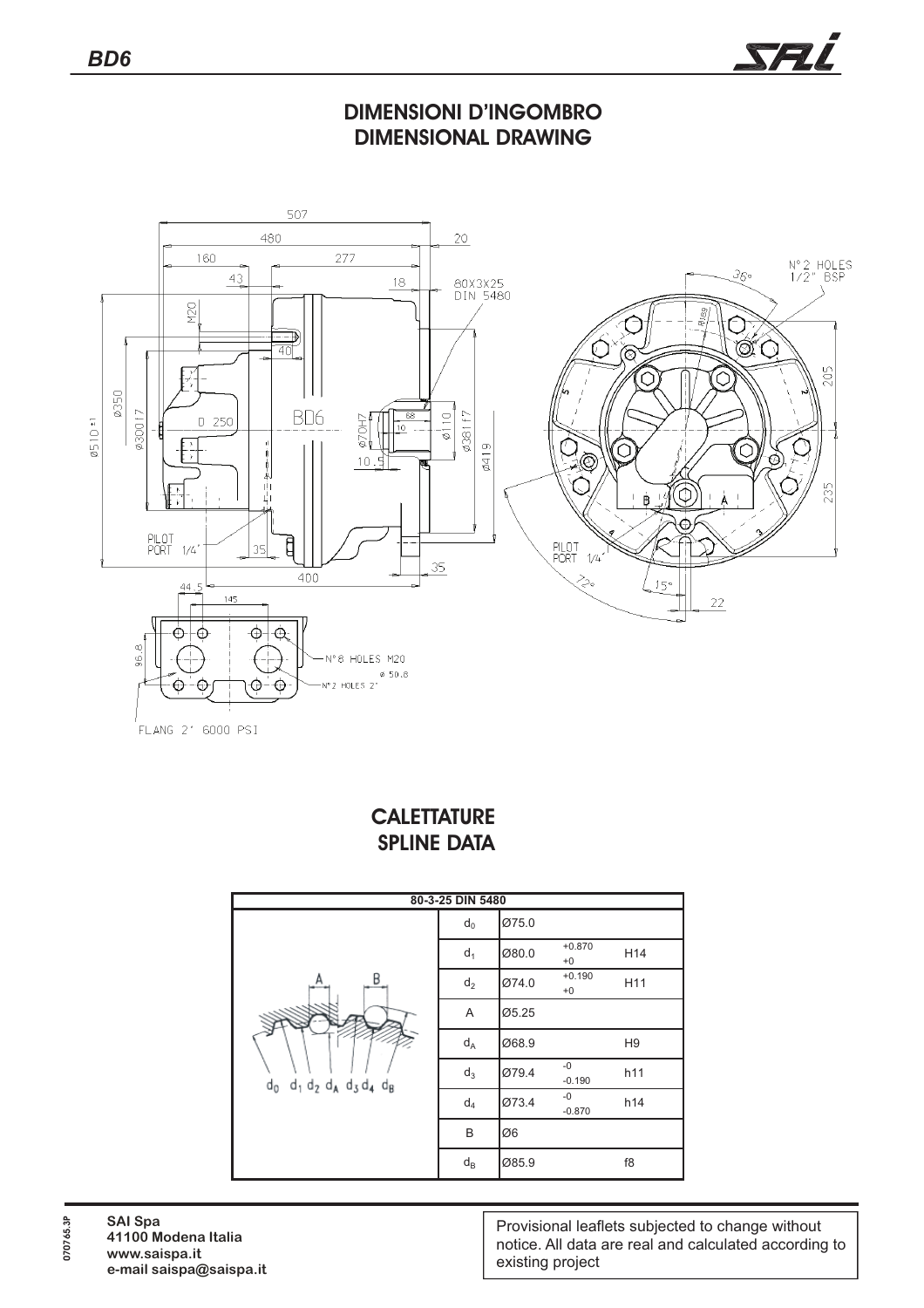

### **DIMENSIONI D'INGOMBRO DIMENSIONAL DRAWING**



FLANG 2" 6000 PSI

#### **CALETTATURE SPLINE DATA**

| 80-3-25 DIN 5480                          |                  |       |                  |                 |  |  |  |  |
|-------------------------------------------|------------------|-------|------------------|-----------------|--|--|--|--|
| B<br>А                                    | $d_0$            | Ø75.0 |                  |                 |  |  |  |  |
|                                           | $d_1$            | Ø80.0 | $+0.870$<br>$+0$ | H <sub>14</sub> |  |  |  |  |
|                                           | $d_2$            | Ø74.0 | $+0.190$<br>$+0$ | H11             |  |  |  |  |
|                                           | Α                | Ø5.25 |                  |                 |  |  |  |  |
|                                           | $d_A$            | Ø68.9 |                  | H <sub>9</sub>  |  |  |  |  |
| $d_0$ $d_1$ $d_2$ $d_A$ $d_3$ $d_4$ $d_B$ | $d_3$            | Ø79.4 | $-0$<br>$-0.190$ | h11             |  |  |  |  |
|                                           | $d_4$            | Ø73.4 | $-0$<br>$-0.870$ | h14             |  |  |  |  |
|                                           | B                | Ø6    |                  |                 |  |  |  |  |
|                                           | $d_{\mathsf{B}}$ | Ø85.9 |                  | f8              |  |  |  |  |

Provisional leaflets subjected to change without notice. All data are real and calculated according to existing project